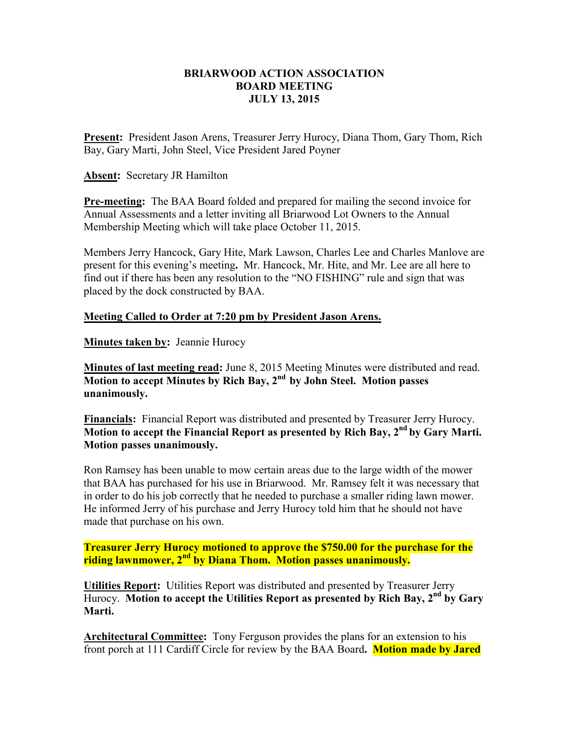## **BRIARWOOD ACTION ASSOCIATION BOARD MEETING JULY 13, 2015**

**Present:** President Jason Arens, Treasurer Jerry Hurocy, Diana Thom, Gary Thom, Rich Bay, Gary Marti, John Steel, Vice President Jared Poyner

**Absent:** Secretary JR Hamilton

**Pre-meeting:** The BAA Board folded and prepared for mailing the second invoice for Annual Assessments and a letter inviting all Briarwood Lot Owners to the Annual Membership Meeting which will take place October 11, 2015.

Members Jerry Hancock, Gary Hite, Mark Lawson, Charles Lee and Charles Manlove are present for this evening's meeting**.** Mr. Hancock, Mr. Hite, and Mr. Lee are all here to find out if there has been any resolution to the "NO FISHING" rule and sign that was placed by the dock constructed by BAA.

## **Meeting Called to Order at 7:20 pm by President Jason Arens.**

**Minutes taken by: Jeannie Hurocy** 

**Minutes of last meeting read:** June 8, 2015 Meeting Minutes were distributed and read. **Motion to accept Minutes by Rich Bay, 2nd by John Steel. Motion passes unanimously.** 

**Financials:** Financial Report was distributed and presented by Treasurer Jerry Hurocy. **Motion to accept the Financial Report as presented by Rich Bay, 2nd by Gary Marti. Motion passes unanimously.** 

Ron Ramsey has been unable to mow certain areas due to the large width of the mower that BAA has purchased for his use in Briarwood. Mr. Ramsey felt it was necessary that in order to do his job correctly that he needed to purchase a smaller riding lawn mower. He informed Jerry of his purchase and Jerry Hurocy told him that he should not have made that purchase on his own.

**Treasurer Jerry Hurocy motioned to approve the \$750.00 for the purchase for the riding lawnmower, 2nd by Diana Thom. Motion passes unanimously.** 

**Utilities Report:** Utilities Report was distributed and presented by Treasurer Jerry Hurocy. **Motion to accept the Utilities Report as presented by Rich Bay, 2nd by Gary Marti.** 

**Architectural Committee:** Tony Ferguson provides the plans for an extension to his front porch at 111 Cardiff Circle for review by the BAA Board**. Motion made by Jared**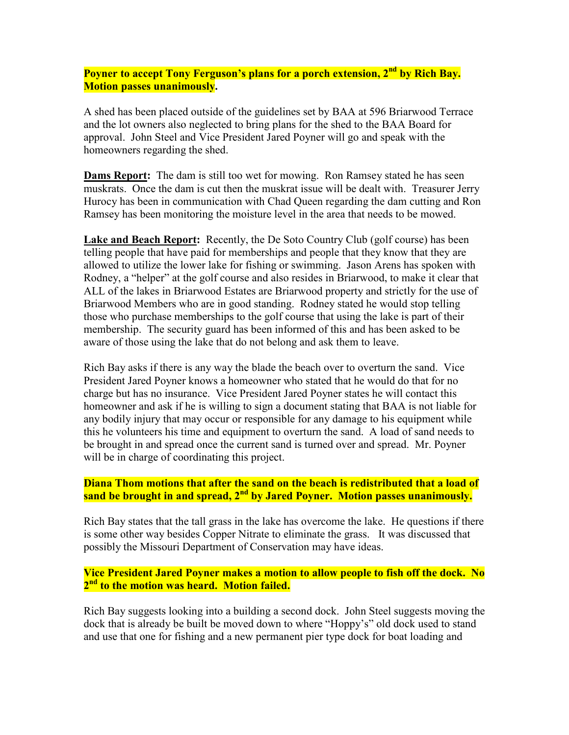**Poyner to accept Tony Ferguson's plans for a porch extension, 2nd by Rich Bay. Motion passes unanimously.** 

A shed has been placed outside of the guidelines set by BAA at 596 Briarwood Terrace and the lot owners also neglected to bring plans for the shed to the BAA Board for approval. John Steel and Vice President Jared Poyner will go and speak with the homeowners regarding the shed.

**Dams Report:** The dam is still too wet for mowing. Ron Ramsey stated he has seen muskrats. Once the dam is cut then the muskrat issue will be dealt with. Treasurer Jerry Hurocy has been in communication with Chad Queen regarding the dam cutting and Ron Ramsey has been monitoring the moisture level in the area that needs to be mowed.

**Lake and Beach Report:** Recently, the De Soto Country Club (golf course) has been telling people that have paid for memberships and people that they know that they are allowed to utilize the lower lake for fishing or swimming. Jason Arens has spoken with Rodney, a "helper" at the golf course and also resides in Briarwood, to make it clear that ALL of the lakes in Briarwood Estates are Briarwood property and strictly for the use of Briarwood Members who are in good standing. Rodney stated he would stop telling those who purchase memberships to the golf course that using the lake is part of their membership. The security guard has been informed of this and has been asked to be aware of those using the lake that do not belong and ask them to leave.

Rich Bay asks if there is any way the blade the beach over to overturn the sand. Vice President Jared Poyner knows a homeowner who stated that he would do that for no charge but has no insurance. Vice President Jared Poyner states he will contact this homeowner and ask if he is willing to sign a document stating that BAA is not liable for any bodily injury that may occur or responsible for any damage to his equipment while this he volunteers his time and equipment to overturn the sand. A load of sand needs to be brought in and spread once the current sand is turned over and spread. Mr. Poyner will be in charge of coordinating this project.

**Diana Thom motions that after the sand on the beach is redistributed that a load of sand be brought in and spread, 2nd by Jared Poyner. Motion passes unanimously.** 

Rich Bay states that the tall grass in the lake has overcome the lake. He questions if there is some other way besides Copper Nitrate to eliminate the grass. It was discussed that possibly the Missouri Department of Conservation may have ideas.

**Vice President Jared Poyner makes a motion to allow people to fish off the dock. No 2 nd to the motion was heard. Motion failed.** 

Rich Bay suggests looking into a building a second dock. John Steel suggests moving the dock that is already be built be moved down to where "Hoppy's" old dock used to stand and use that one for fishing and a new permanent pier type dock for boat loading and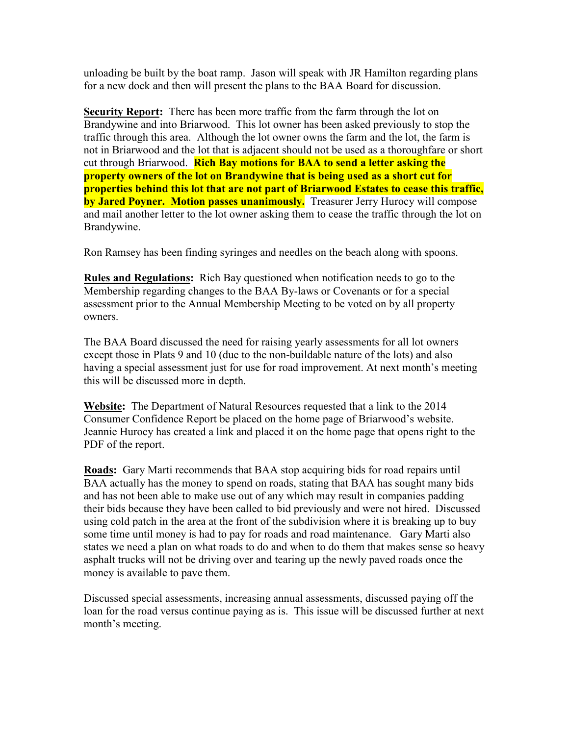unloading be built by the boat ramp. Jason will speak with JR Hamilton regarding plans for a new dock and then will present the plans to the BAA Board for discussion.

**Security Report:** There has been more traffic from the farm through the lot on Brandywine and into Briarwood. This lot owner has been asked previously to stop the traffic through this area. Although the lot owner owns the farm and the lot, the farm is not in Briarwood and the lot that is adjacent should not be used as a thoroughfare or short cut through Briarwood. **Rich Bay motions for BAA to send a letter asking the property owners of the lot on Brandywine that is being used as a short cut for properties behind this lot that are not part of Briarwood Estates to cease this traffic, by Jared Poyner. Motion passes unanimously.** Treasurer Jerry Hurocy will compose and mail another letter to the lot owner asking them to cease the traffic through the lot on Brandywine.

Ron Ramsey has been finding syringes and needles on the beach along with spoons.

**Rules and Regulations:** Rich Bay questioned when notification needs to go to the Membership regarding changes to the BAA By-laws or Covenants or for a special assessment prior to the Annual Membership Meeting to be voted on by all property owners.

The BAA Board discussed the need for raising yearly assessments for all lot owners except those in Plats 9 and 10 (due to the non-buildable nature of the lots) and also having a special assessment just for use for road improvement. At next month's meeting this will be discussed more in depth.

**Website:** The Department of Natural Resources requested that a link to the 2014 Consumer Confidence Report be placed on the home page of Briarwood's website. Jeannie Hurocy has created a link and placed it on the home page that opens right to the PDF of the report.

**Roads:** Gary Marti recommends that BAA stop acquiring bids for road repairs until BAA actually has the money to spend on roads, stating that BAA has sought many bids and has not been able to make use out of any which may result in companies padding their bids because they have been called to bid previously and were not hired. Discussed using cold patch in the area at the front of the subdivision where it is breaking up to buy some time until money is had to pay for roads and road maintenance. Gary Marti also states we need a plan on what roads to do and when to do them that makes sense so heavy asphalt trucks will not be driving over and tearing up the newly paved roads once the money is available to pave them.

Discussed special assessments, increasing annual assessments, discussed paying off the loan for the road versus continue paying as is. This issue will be discussed further at next month's meeting.